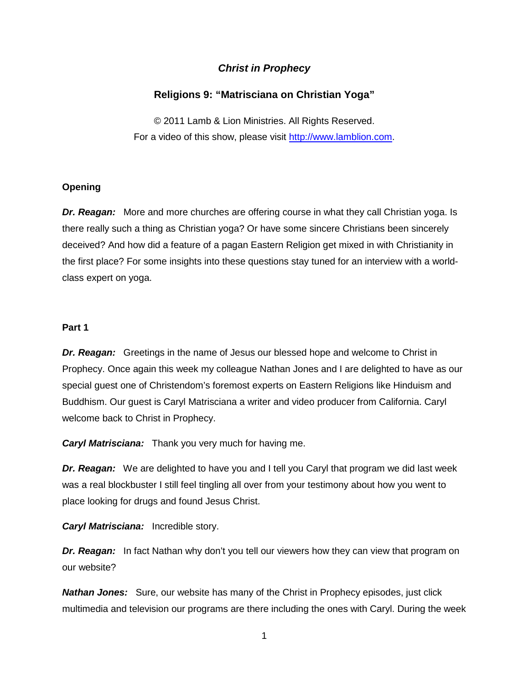# *Christ in Prophecy*

# **Religions 9: "Matrisciana on Christian Yoga"**

© 2011 Lamb & Lion Ministries. All Rights Reserved. For a video of this show, please visit [http://www.lamblion.com.](http://www.lamblion.com/)

### **Opening**

*Dr. Reagan:* More and more churches are offering course in what they call Christian yoga. Is there really such a thing as Christian yoga? Or have some sincere Christians been sincerely deceived? And how did a feature of a pagan Eastern Religion get mixed in with Christianity in the first place? For some insights into these questions stay tuned for an interview with a worldclass expert on yoga.

## **Part 1**

*Dr. Reagan:* Greetings in the name of Jesus our blessed hope and welcome to Christ in Prophecy. Once again this week my colleague Nathan Jones and I are delighted to have as our special guest one of Christendom's foremost experts on Eastern Religions like Hinduism and Buddhism. Our guest is Caryl Matrisciana a writer and video producer from California. Caryl welcome back to Christ in Prophecy.

*Caryl Matrisciana:* Thank you very much for having me.

*Dr. Reagan:* We are delighted to have you and I tell you Caryl that program we did last week was a real blockbuster I still feel tingling all over from your testimony about how you went to place looking for drugs and found Jesus Christ.

*Caryl Matrisciana:* Incredible story.

**Dr. Reagan:** In fact Nathan why don't you tell our viewers how they can view that program on our website?

*Nathan Jones:* Sure, our website has many of the Christ in Prophecy episodes, just click multimedia and television our programs are there including the ones with Caryl. During the week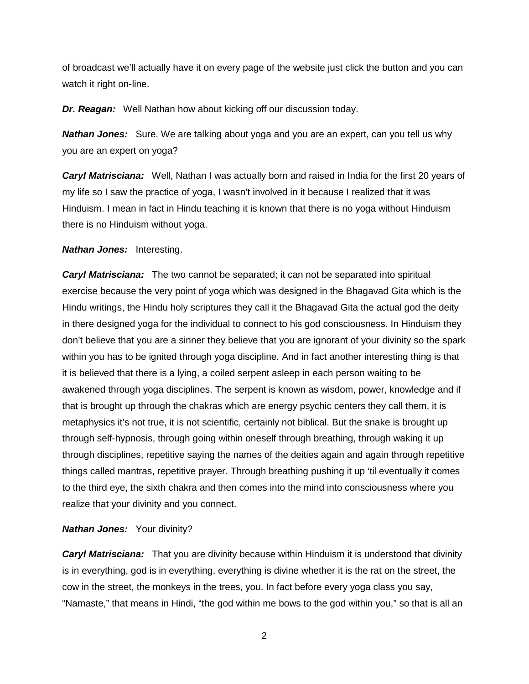of broadcast we'll actually have it on every page of the website just click the button and you can watch it right on-line.

*Dr. Reagan:* Well Nathan how about kicking off our discussion today.

*Nathan Jones:* Sure. We are talking about yoga and you are an expert, can you tell us why you are an expert on yoga?

*Caryl Matrisciana:* Well, Nathan I was actually born and raised in India for the first 20 years of my life so I saw the practice of yoga, I wasn't involved in it because I realized that it was Hinduism. I mean in fact in Hindu teaching it is known that there is no yoga without Hinduism there is no Hinduism without yoga.

### *Nathan Jones:* Interesting.

*Caryl Matrisciana:* The two cannot be separated; it can not be separated into spiritual exercise because the very point of yoga which was designed in the Bhagavad Gita which is the Hindu writings, the Hindu holy scriptures they call it the Bhagavad Gita the actual god the deity in there designed yoga for the individual to connect to his god consciousness. In Hinduism they don't believe that you are a sinner they believe that you are ignorant of your divinity so the spark within you has to be ignited through yoga discipline. And in fact another interesting thing is that it is believed that there is a lying, a coiled serpent asleep in each person waiting to be awakened through yoga disciplines. The serpent is known as wisdom, power, knowledge and if that is brought up through the chakras which are energy psychic centers they call them, it is metaphysics it's not true, it is not scientific, certainly not biblical. But the snake is brought up through self-hypnosis, through going within oneself through breathing, through waking it up through disciplines, repetitive saying the names of the deities again and again through repetitive things called mantras, repetitive prayer. Through breathing pushing it up 'til eventually it comes to the third eye, the sixth chakra and then comes into the mind into consciousness where you realize that your divinity and you connect.

### *Nathan Jones:* Your divinity?

*Caryl Matrisciana:* That you are divinity because within Hinduism it is understood that divinity is in everything, god is in everything, everything is divine whether it is the rat on the street, the cow in the street, the monkeys in the trees, you. In fact before every yoga class you say, "Namaste," that means in Hindi, "the god within me bows to the god within you," so that is all an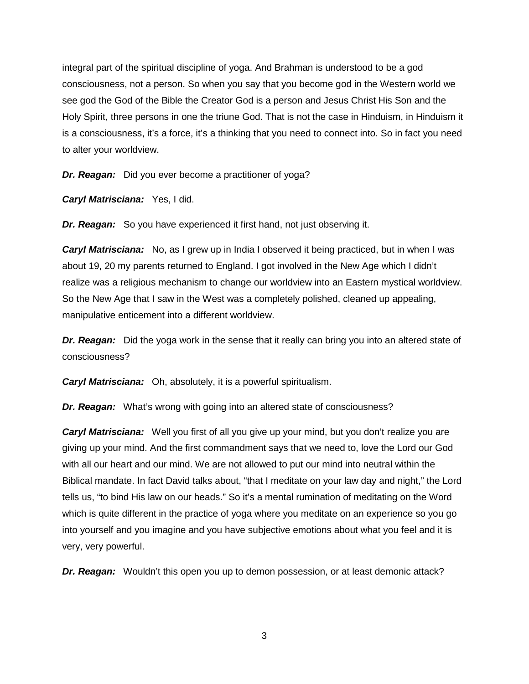integral part of the spiritual discipline of yoga. And Brahman is understood to be a god consciousness, not a person. So when you say that you become god in the Western world we see god the God of the Bible the Creator God is a person and Jesus Christ His Son and the Holy Spirit, three persons in one the triune God. That is not the case in Hinduism, in Hinduism it is a consciousness, it's a force, it's a thinking that you need to connect into. So in fact you need to alter your worldview.

*Dr. Reagan:* Did you ever become a practitioner of yoga?

*Caryl Matrisciana:* Yes, I did.

*Dr. Reagan:* So you have experienced it first hand, not just observing it.

*Caryl Matrisciana:* No, as I grew up in India I observed it being practiced, but in when I was about 19, 20 my parents returned to England. I got involved in the New Age which I didn't realize was a religious mechanism to change our worldview into an Eastern mystical worldview. So the New Age that I saw in the West was a completely polished, cleaned up appealing, manipulative enticement into a different worldview.

*Dr. Reagan:* Did the yoga work in the sense that it really can bring you into an altered state of consciousness?

*Caryl Matrisciana:* Oh, absolutely, it is a powerful spiritualism.

*Dr. Reagan:* What's wrong with going into an altered state of consciousness?

*Caryl Matrisciana:* Well you first of all you give up your mind, but you don't realize you are giving up your mind. And the first commandment says that we need to, love the Lord our God with all our heart and our mind. We are not allowed to put our mind into neutral within the Biblical mandate. In fact David talks about, "that I meditate on your law day and night," the Lord tells us, "to bind His law on our heads." So it's a mental rumination of meditating on the Word which is quite different in the practice of yoga where you meditate on an experience so you go into yourself and you imagine and you have subjective emotions about what you feel and it is very, very powerful.

*Dr. Reagan:* Wouldn't this open you up to demon possession, or at least demonic attack?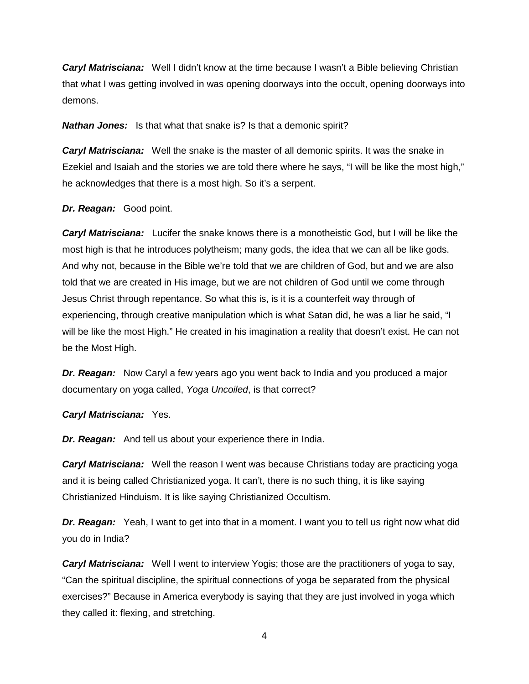*Caryl Matrisciana:* Well I didn't know at the time because I wasn't a Bible believing Christian that what I was getting involved in was opening doorways into the occult, opening doorways into demons.

*Nathan Jones:* Is that what that snake is? Is that a demonic spirit?

*Caryl Matrisciana:* Well the snake is the master of all demonic spirits. It was the snake in Ezekiel and Isaiah and the stories we are told there where he says, "I will be like the most high," he acknowledges that there is a most high. So it's a serpent.

#### *Dr. Reagan:* Good point.

*Caryl Matrisciana:* Lucifer the snake knows there is a monotheistic God, but I will be like the most high is that he introduces polytheism; many gods, the idea that we can all be like gods. And why not, because in the Bible we're told that we are children of God, but and we are also told that we are created in His image, but we are not children of God until we come through Jesus Christ through repentance. So what this is, is it is a counterfeit way through of experiencing, through creative manipulation which is what Satan did, he was a liar he said, "I will be like the most High." He created in his imagination a reality that doesn't exist. He can not be the Most High.

*Dr. Reagan:* Now Caryl a few years ago you went back to India and you produced a major documentary on yoga called, *Yoga Uncoiled*, is that correct?

### *Caryl Matrisciana:* Yes.

*Dr. Reagan:* And tell us about your experience there in India.

*Caryl Matrisciana:* Well the reason I went was because Christians today are practicing yoga and it is being called Christianized yoga. It can't, there is no such thing, it is like saying Christianized Hinduism. It is like saying Christianized Occultism.

**Dr. Reagan:** Yeah, I want to get into that in a moment. I want you to tell us right now what did you do in India?

*Caryl Matrisciana:* Well I went to interview Yogis; those are the practitioners of yoga to say, "Can the spiritual discipline, the spiritual connections of yoga be separated from the physical exercises?" Because in America everybody is saying that they are just involved in yoga which they called it: flexing, and stretching.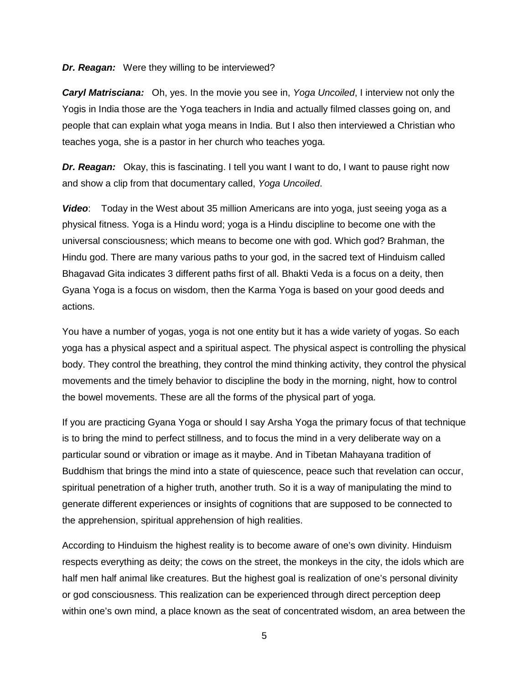#### *Dr. Reagan:* Were they willing to be interviewed?

*Caryl Matrisciana:* Oh, yes. In the movie you see in, *Yoga Uncoiled*, I interview not only the Yogis in India those are the Yoga teachers in India and actually filmed classes going on, and people that can explain what yoga means in India. But I also then interviewed a Christian who teaches yoga, she is a pastor in her church who teaches yoga.

*Dr. Reagan:* Okay, this is fascinating. I tell you want I want to do, I want to pause right now and show a clip from that documentary called, *Yoga Uncoiled*.

*Video*: Today in the West about 35 million Americans are into yoga, just seeing yoga as a physical fitness. Yoga is a Hindu word; yoga is a Hindu discipline to become one with the universal consciousness; which means to become one with god. Which god? Brahman, the Hindu god. There are many various paths to your god, in the sacred text of Hinduism called Bhagavad Gita indicates 3 different paths first of all. Bhakti Veda is a focus on a deity, then Gyana Yoga is a focus on wisdom, then the Karma Yoga is based on your good deeds and actions.

You have a number of yogas, yoga is not one entity but it has a wide variety of yogas. So each yoga has a physical aspect and a spiritual aspect. The physical aspect is controlling the physical body. They control the breathing, they control the mind thinking activity, they control the physical movements and the timely behavior to discipline the body in the morning, night, how to control the bowel movements. These are all the forms of the physical part of yoga.

If you are practicing Gyana Yoga or should I say Arsha Yoga the primary focus of that technique is to bring the mind to perfect stillness, and to focus the mind in a very deliberate way on a particular sound or vibration or image as it maybe. And in Tibetan Mahayana tradition of Buddhism that brings the mind into a state of quiescence, peace such that revelation can occur, spiritual penetration of a higher truth, another truth. So it is a way of manipulating the mind to generate different experiences or insights of cognitions that are supposed to be connected to the apprehension, spiritual apprehension of high realities.

According to Hinduism the highest reality is to become aware of one's own divinity. Hinduism respects everything as deity; the cows on the street, the monkeys in the city, the idols which are half men half animal like creatures. But the highest goal is realization of one's personal divinity or god consciousness. This realization can be experienced through direct perception deep within one's own mind, a place known as the seat of concentrated wisdom, an area between the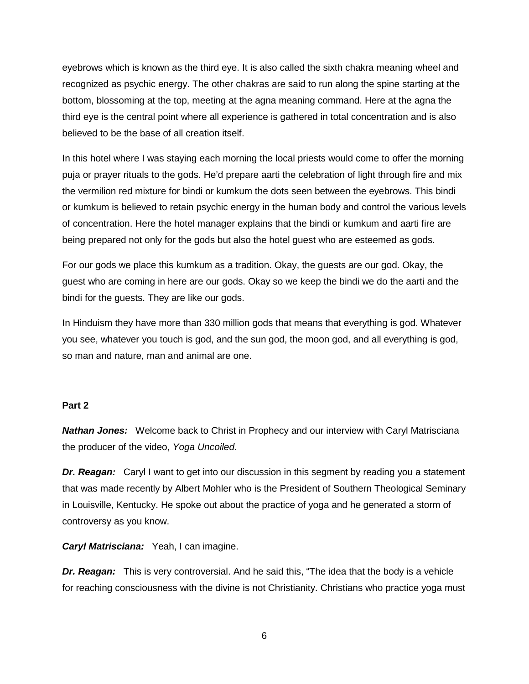eyebrows which is known as the third eye. It is also called the sixth chakra meaning wheel and recognized as psychic energy. The other chakras are said to run along the spine starting at the bottom, blossoming at the top, meeting at the agna meaning command. Here at the agna the third eye is the central point where all experience is gathered in total concentration and is also believed to be the base of all creation itself.

In this hotel where I was staying each morning the local priests would come to offer the morning puja or prayer rituals to the gods. He'd prepare aarti the celebration of light through fire and mix the vermilion red mixture for bindi or kumkum the dots seen between the eyebrows. This bindi or kumkum is believed to retain psychic energy in the human body and control the various levels of concentration. Here the hotel manager explains that the bindi or kumkum and aarti fire are being prepared not only for the gods but also the hotel guest who are esteemed as gods.

For our gods we place this kumkum as a tradition. Okay, the guests are our god. Okay, the guest who are coming in here are our gods. Okay so we keep the bindi we do the aarti and the bindi for the guests. They are like our gods.

In Hinduism they have more than 330 million gods that means that everything is god. Whatever you see, whatever you touch is god, and the sun god, the moon god, and all everything is god, so man and nature, man and animal are one.

#### **Part 2**

*Nathan Jones:* Welcome back to Christ in Prophecy and our interview with Caryl Matrisciana the producer of the video, *Yoga Uncoiled*.

*Dr. Reagan:* Caryl I want to get into our discussion in this segment by reading you a statement that was made recently by Albert Mohler who is the President of Southern Theological Seminary in Louisville, Kentucky. He spoke out about the practice of yoga and he generated a storm of controversy as you know.

*Caryl Matrisciana:* Yeah, I can imagine.

*Dr. Reagan:* This is very controversial. And he said this, "The idea that the body is a vehicle for reaching consciousness with the divine is not Christianity. Christians who practice yoga must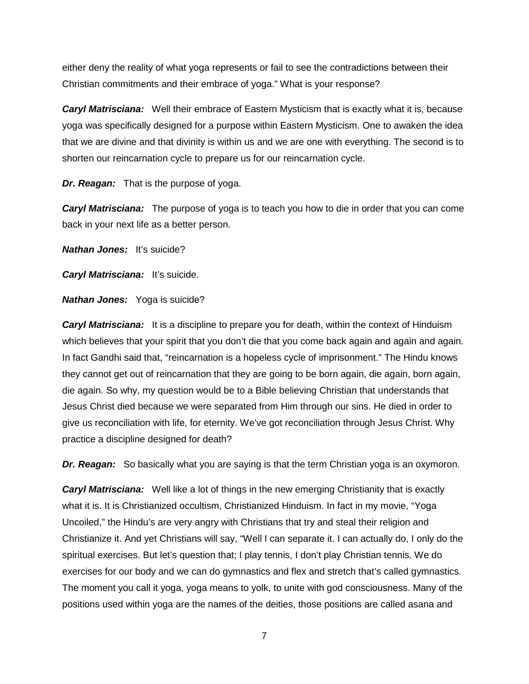either deny the reality of what yoga represents or fail to see the contradictions between their Christian commitments and their embrace of yoga." What is your response?

*Caryl Matrisciana:* Well their embrace of Eastern Mysticism that is exactly what it is, because yoga was specifically designed for a purpose within Eastern Mysticism. One to awaken the idea that we are divine and that divinity is within us and we are one with everything. The second is to shorten our reincarnation cycle to prepare us for our reincarnation cycle.

*Dr. Reagan:* That is the purpose of yoga.

*Caryl Matrisciana:* The purpose of yoga is to teach you how to die in order that you can come back in your next life as a better person.

*Nathan Jones:* It's suicide?

*Caryl Matrisciana:* It's suicide.

*Nathan Jones:* Yoga is suicide?

*Caryl Matrisciana:* It is a discipline to prepare you for death, within the context of Hinduism which believes that your spirit that you don't die that you come back again and again and again. In fact Gandhi said that, "reincarnation is a hopeless cycle of imprisonment." The Hindu knows they cannot get out of reincarnation that they are going to be born again, die again, born again, die again. So why, my question would be to a Bible believing Christian that understands that Jesus Christ died because we were separated from Him through our sins. He died in order to give us reconciliation with life, for eternity. We've got reconciliation through Jesus Christ. Why practice a discipline designed for death?

*Dr. Reagan:* So basically what you are saying is that the term Christian yoga is an oxymoron.

*Caryl Matrisciana:* Well like a lot of things in the new emerging Christianity that is exactly what it is. It is Christianized occultism, Christianized Hinduism. In fact in my movie, "Yoga Uncoiled," the Hindu's are very angry with Christians that try and steal their religion and Christianize it. And yet Christians will say, "Well I can separate it. I can actually do, I only do the spiritual exercises. But let's question that; I play tennis, I don't play Christian tennis. We do exercises for our body and we can do gymnastics and flex and stretch that's called gymnastics. The moment you call it yoga, yoga means to yolk, to unite with god consciousness. Many of the positions used within yoga are the names of the deities, those positions are called asana and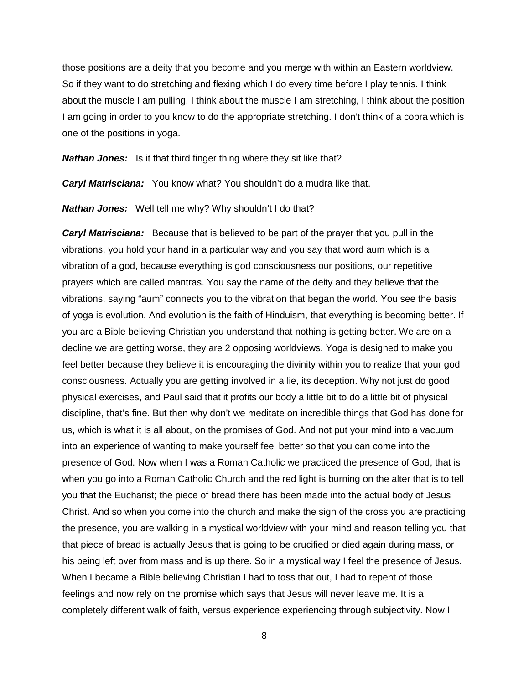those positions are a deity that you become and you merge with within an Eastern worldview. So if they want to do stretching and flexing which I do every time before I play tennis. I think about the muscle I am pulling, I think about the muscle I am stretching, I think about the position I am going in order to you know to do the appropriate stretching. I don't think of a cobra which is one of the positions in yoga.

*Nathan Jones:* Is it that third finger thing where they sit like that?

*Caryl Matrisciana:* You know what? You shouldn't do a mudra like that.

*Nathan Jones:* Well tell me why? Why shouldn't I do that?

*Caryl Matrisciana:* Because that is believed to be part of the prayer that you pull in the vibrations, you hold your hand in a particular way and you say that word aum which is a vibration of a god, because everything is god consciousness our positions, our repetitive prayers which are called mantras. You say the name of the deity and they believe that the vibrations, saying "aum" connects you to the vibration that began the world. You see the basis of yoga is evolution. And evolution is the faith of Hinduism, that everything is becoming better. If you are a Bible believing Christian you understand that nothing is getting better. We are on a decline we are getting worse, they are 2 opposing worldviews. Yoga is designed to make you feel better because they believe it is encouraging the divinity within you to realize that your god consciousness. Actually you are getting involved in a lie, its deception. Why not just do good physical exercises, and Paul said that it profits our body a little bit to do a little bit of physical discipline, that's fine. But then why don't we meditate on incredible things that God has done for us, which is what it is all about, on the promises of God. And not put your mind into a vacuum into an experience of wanting to make yourself feel better so that you can come into the presence of God. Now when I was a Roman Catholic we practiced the presence of God, that is when you go into a Roman Catholic Church and the red light is burning on the alter that is to tell you that the Eucharist; the piece of bread there has been made into the actual body of Jesus Christ. And so when you come into the church and make the sign of the cross you are practicing the presence, you are walking in a mystical worldview with your mind and reason telling you that that piece of bread is actually Jesus that is going to be crucified or died again during mass, or his being left over from mass and is up there. So in a mystical way I feel the presence of Jesus. When I became a Bible believing Christian I had to toss that out, I had to repent of those feelings and now rely on the promise which says that Jesus will never leave me. It is a completely different walk of faith, versus experience experiencing through subjectivity. Now I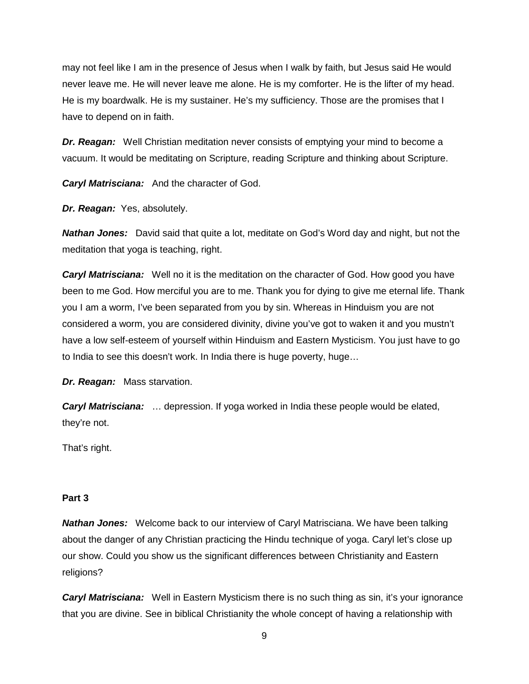may not feel like I am in the presence of Jesus when I walk by faith, but Jesus said He would never leave me. He will never leave me alone. He is my comforter. He is the lifter of my head. He is my boardwalk. He is my sustainer. He's my sufficiency. Those are the promises that I have to depend on in faith.

*Dr. Reagan:* Well Christian meditation never consists of emptying your mind to become a vacuum. It would be meditating on Scripture, reading Scripture and thinking about Scripture.

*Caryl Matrisciana:* And the character of God.

*Dr. Reagan:* Yes, absolutely.

*Nathan Jones:* David said that quite a lot, meditate on God's Word day and night, but not the meditation that yoga is teaching, right.

*Caryl Matrisciana:* Well no it is the meditation on the character of God. How good you have been to me God. How merciful you are to me. Thank you for dying to give me eternal life. Thank you I am a worm, I've been separated from you by sin. Whereas in Hinduism you are not considered a worm, you are considered divinity, divine you've got to waken it and you mustn't have a low self-esteem of yourself within Hinduism and Eastern Mysticism. You just have to go to India to see this doesn't work. In India there is huge poverty, huge…

*Dr. Reagan:* Mass starvation.

*Caryl Matrisciana:* … depression. If yoga worked in India these people would be elated, they're not.

That's right.

### **Part 3**

*Nathan Jones:* Welcome back to our interview of Caryl Matrisciana. We have been talking about the danger of any Christian practicing the Hindu technique of yoga. Caryl let's close up our show. Could you show us the significant differences between Christianity and Eastern religions?

**Caryl Matrisciana:** Well in Eastern Mysticism there is no such thing as sin, it's your ignorance that you are divine. See in biblical Christianity the whole concept of having a relationship with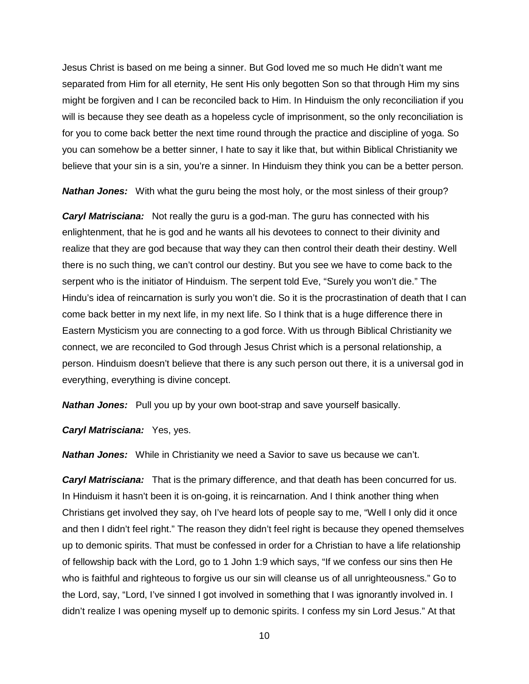Jesus Christ is based on me being a sinner. But God loved me so much He didn't want me separated from Him for all eternity, He sent His only begotten Son so that through Him my sins might be forgiven and I can be reconciled back to Him. In Hinduism the only reconciliation if you will is because they see death as a hopeless cycle of imprisonment, so the only reconciliation is for you to come back better the next time round through the practice and discipline of yoga. So you can somehow be a better sinner, I hate to say it like that, but within Biblical Christianity we believe that your sin is a sin, you're a sinner. In Hinduism they think you can be a better person.

*Nathan Jones:* With what the guru being the most holy, or the most sinless of their group?

*Caryl Matrisciana:* Not really the guru is a god-man. The guru has connected with his enlightenment, that he is god and he wants all his devotees to connect to their divinity and realize that they are god because that way they can then control their death their destiny. Well there is no such thing, we can't control our destiny. But you see we have to come back to the serpent who is the initiator of Hinduism. The serpent told Eve, "Surely you won't die." The Hindu's idea of reincarnation is surly you won't die. So it is the procrastination of death that I can come back better in my next life, in my next life. So I think that is a huge difference there in Eastern Mysticism you are connecting to a god force. With us through Biblical Christianity we connect, we are reconciled to God through Jesus Christ which is a personal relationship, a person. Hinduism doesn't believe that there is any such person out there, it is a universal god in everything, everything is divine concept.

*Nathan Jones:* Pull you up by your own boot-strap and save yourself basically.

*Caryl Matrisciana:* Yes, yes.

*Nathan Jones:* While in Christianity we need a Savior to save us because we can't.

*Caryl Matrisciana:* That is the primary difference, and that death has been concurred for us. In Hinduism it hasn't been it is on-going, it is reincarnation. And I think another thing when Christians get involved they say, oh I've heard lots of people say to me, "Well I only did it once and then I didn't feel right." The reason they didn't feel right is because they opened themselves up to demonic spirits. That must be confessed in order for a Christian to have a life relationship of fellowship back with the Lord, go to 1 John 1:9 which says, "If we confess our sins then He who is faithful and righteous to forgive us our sin will cleanse us of all unrighteousness." Go to the Lord, say, "Lord, I've sinned I got involved in something that I was ignorantly involved in. I didn't realize I was opening myself up to demonic spirits. I confess my sin Lord Jesus." At that

<sup>10</sup>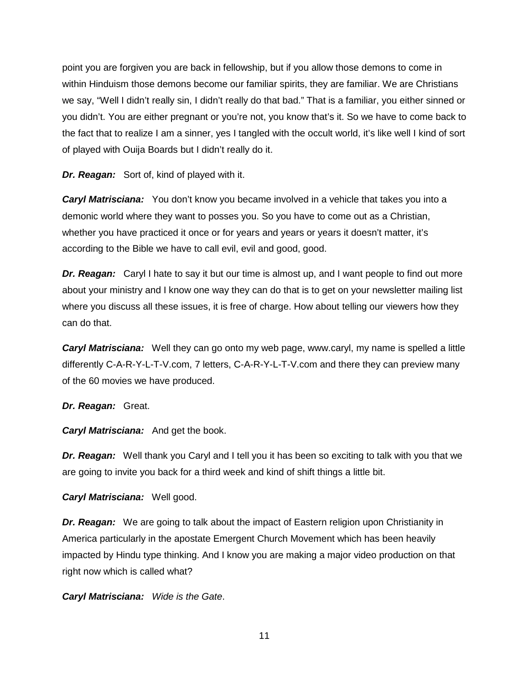point you are forgiven you are back in fellowship, but if you allow those demons to come in within Hinduism those demons become our familiar spirits, they are familiar. We are Christians we say, "Well I didn't really sin, I didn't really do that bad." That is a familiar, you either sinned or you didn't. You are either pregnant or you're not, you know that's it. So we have to come back to the fact that to realize I am a sinner, yes I tangled with the occult world, it's like well I kind of sort of played with Ouija Boards but I didn't really do it.

*Dr. Reagan:* Sort of, kind of played with it.

*Caryl Matrisciana:* You don't know you became involved in a vehicle that takes you into a demonic world where they want to posses you. So you have to come out as a Christian, whether you have practiced it once or for years and years or years it doesn't matter, it's according to the Bible we have to call evil, evil and good, good.

*Dr. Reagan:* Caryl I hate to say it but our time is almost up, and I want people to find out more about your ministry and I know one way they can do that is to get on your newsletter mailing list where you discuss all these issues, it is free of charge. How about telling our viewers how they can do that.

*Caryl Matrisciana:* Well they can go onto my web page, www.caryl, my name is spelled a little differently C-A-R-Y-L-T-V.com, 7 letters, C-A-R-Y-L-T-V.com and there they can preview many of the 60 movies we have produced.

# *Dr. Reagan:* Great.

*Caryl Matrisciana:* And get the book.

*Dr. Reagan:* Well thank you Caryl and I tell you it has been so exciting to talk with you that we are going to invite you back for a third week and kind of shift things a little bit.

*Caryl Matrisciana:* Well good.

*Dr. Reagan:* We are going to talk about the impact of Eastern religion upon Christianity in America particularly in the apostate Emergent Church Movement which has been heavily impacted by Hindu type thinking. And I know you are making a major video production on that right now which is called what?

*Caryl Matrisciana: Wide is the Gate*.